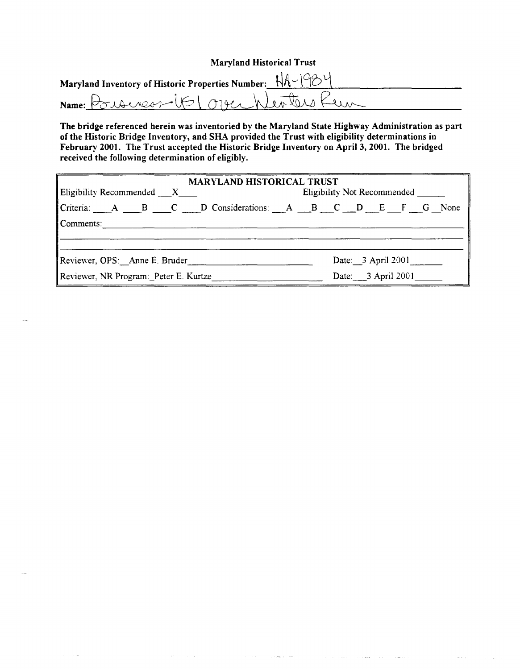| <b>Maryland Historical Trust</b>                               |  |
|----------------------------------------------------------------|--|
| Maryland Inventory of Historic Properties Number: $H$ A ~ 1984 |  |
| Name: Pousiness-USI orgen Westers Rein                         |  |

The bridge referenced herein was inventoried by the Maryland State Highway Administration as part of the Historic Bridge Inventory, and SHA provided the Trust with eligibility determinations in February 2001. The Trust accepted the Historic Bridge Inventory on April 3, 2001. The bridged received the following determination of eligibly.

| MARYLAND HISTORICAL TRUST                                                |
|--------------------------------------------------------------------------|
| Eligibility Not Recommended<br>Eligibility Recommended $X$               |
| $[Christeria: A \t B C \t D Considerations: A \t B C \t D \t E F \t G ]$ |
| Comments:                                                                |
|                                                                          |
|                                                                          |
| Reviewer, OPS: Anne E. Bruder<br>Date: 3 April 2001                      |
| Reviewer, NR Program: Peter E. Kurtze<br>Date: $3$ April 2001            |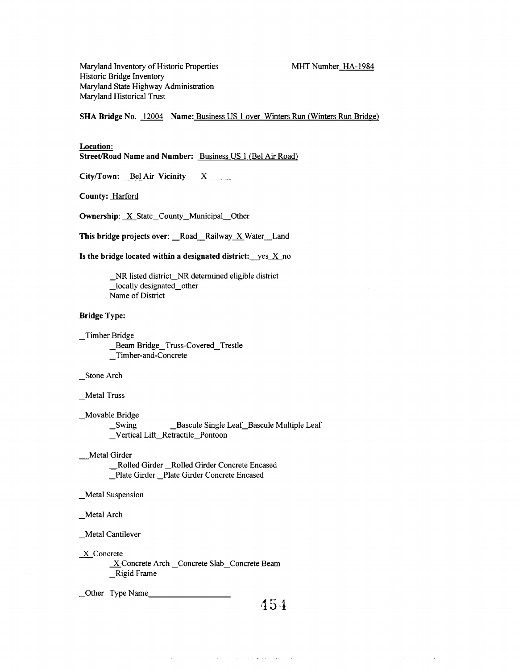Maryland Inventory of Historic Properties Historic Bridge Inventory Maryland State Highway Administration Maryland Historical Trust

SHA Bridge No. 12004 Name: Business US 1 over Winters Run (Winters Run Bridge)

Location:

Street/Road Name and Number: Business US 1 (Bel Air Road)

City/Town: Bel Air Vicinity  $X_{-}$ 

County: Harford

Ownership: X State County Municipal Other

This bridge projects over: Road Railway X Water Land

# Is the bridge located within a designated district:  $yes\ X\ no$

\_NR listed district\_NR determined eligible district locally designated\_other Name of District

# Bridge Type:

\_Timber Bridge

\_Beam Bridge\_ Truss-Covered\_ Trestle \_Timber-and-Concrete

Stone Arch

\_Metal Truss

\_Movable Bridge

\_Bascule Single Leaf\_Bascule Multiple Leaf \_Vertical Lift\_Retractile Pontoon

\_Metal Girder

\_Rolled Girder \_Rolled Girder Concrete Encased Plate Girder Plate Girder Concrete Encased

\_Metal Suspension

\_Metal Arch

\_Metal Cantilever

X Concrete

 $\alpha$  is a measure on the set of the set of the set of  $\alpha$ 

X.Concrete Arch \_Concrete Slab\_Concrete Beam \_Rigid Frame

 $\sim 10^{-1}$  and  $\sim 10^{-1}$ 

\_Other Type Name\_

والمتعادل والمعاملات والمتعاد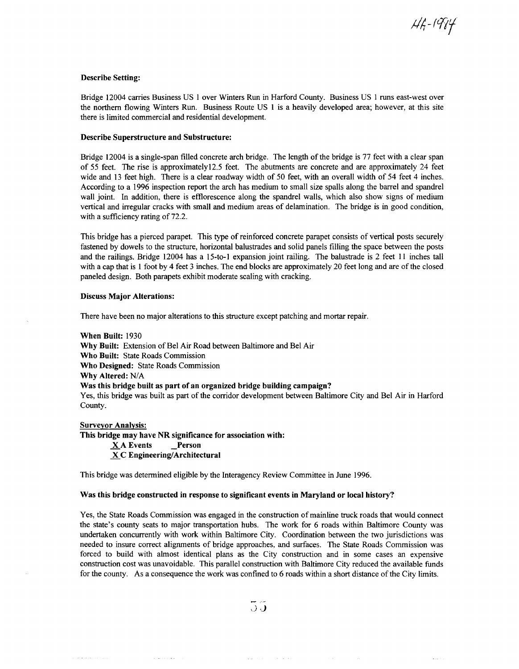$44 - 1974$ 

#### Describe Setting:

Bridge 12004 carries Business US 1 over Winters Run in Harford County. Business US 1 runs east-west over the northern flowing Winters Run. Business Route US 1 is a heavily developed area; however, at this site there is limited commercial and residential development.

### Describe Superstructure and Substructure:

Bridge 12004 is a single-span filled concrete arch bridge. The length of the bridge is 77 feet with a clear span of 55 feet. The rise is approximately12.5 feet. The abutments are concrete and are approximately 24 feet wide and 13 feet high. There is a clear roadway width of 50 feet, with an overall width of 54 feet 4 inches. According to a 1996 inspection report the arch has medium to small size spalls along the barrel and spandrel wall joint. In addition, there is efflorescence along the spandrel walls, which also show signs of medium vertical and irregular cracks with small and medium areas of delamination. The bridge is in good condition, with a sufficiency rating of 72.2.

This bridge has a pierced parapet. This type of reinforced concrete parapet consists of vertical posts securely fastened by dowels to the structure, horizontal balustrades and solid panels filling the space between the posts and the railings. Bridge 12004 has a 15-to-l expansion joint railing. The balustrade is 2 feet 11 inches tall with a cap that is 1 foot by 4 feet 3 inches. The end blocks are approximately 20 feet long and are of the closed paneled design. Both parapets exhibit moderate scaling with cracking.

#### Discuss Major Alterations:

There have been no major alterations to this structure except patching and mortar repair.

When Built: 1930 Why Built: Extension of Bel Air Road between Baltimore and Bel Air Who Built: State Roads Commission Who Designed: State Roads Commission Why Altered: N/A Was this bridge built as part of an organized bridge building campaign? Yes, this bridge was built as part of the corridor development between Baltimore City and Bel Air in Harford County.

Surveyor Analysis: This bridge may have NR significance for association with: \_K\_A Events \_Person X C Engineering/Architectural

This bridge was determined eligible by the Interagency Review Committee in June 1996.

## Was this bridge constructed in response to significant events in Maryland or local history?

Yes, the State Roads Commission was engaged in the construction of mainline truck roads that would connect the state's county seats to major transportation hubs. The work for 6 roads within Baltimore County was undertaken concurrently with work within Baltimore City. Coordination between the two jurisdictions was needed to insure correct alignments of bridge approaches, and surfaces. The State Roads Commission was forced to build with almost identical plans as the City construction and in some cases an expensive construction cost was unavoidable. This parallel construction with Baltimore City reduced the available funds for the county. As a consequence the work was confined to 6 roads within a short distance of the City limits.

 $55$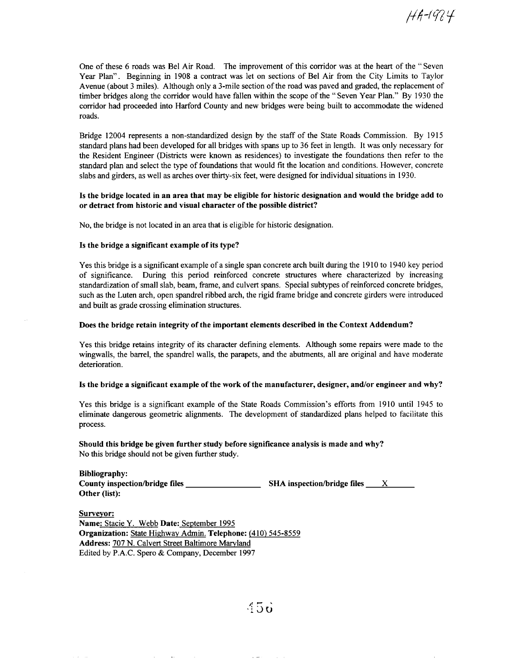One of these 6 roads was Bel Air Road. The improvement of this corridor was at the heart of the " Seven Year Plan". Beginning in 1908 a contract was let on sections of Bel Air from the City Limits to Taylor Avenue (about 3 miles). Although only a 3-mile section of the road was paved and graded, the replacement of timber bridges along the corridor would have fallen within the scope of the "Seven Year Plan." By 1930 the corridor had proceeded into Harford County and new bridges were being built to accommodate the widened roads.

Bridge 12004 represents a non-standardized design by the staff of the State Roads Commission. By 1915 standard plans had been developed for all bridges with spans up to 36 feet in length. It was only necessary for the Resident Engineer (Districts were known as residences) to investigate the foundations then refer to the standard plan and select the type of foundations that would fit the location and conditions. However, concrete slabs and girders, as well as arches over thirty-six feet, were designed for individual situations in 1930.

# Is the bridge located in an area that may be eligible for historic designation and would the bridge add to or detract from historic and visual character of the possible district?

No, the bridge is not located in an area that is eligible for historic designation.

# Is the bridge a significant example of its type?

Yes this bridge is a significant example of a single span concrete arch built during the 1910 to 1940 key period of significance. During this period reinforced concrete structures where characterized by increasing standardization of small slab, beam, frame, and culvert spans. Special subtypes of reinforced concrete bridges, such as the Luten arch, open spandrel ribbed arch, the rigid frame bridge and concrete girders were introduced and built as grade crossing elimination structures.

# Does the bridge retain integrity of the important elements described in the Context Addendum?

Yes this bridge retains integrity of its character defining elements. Although some repairs were made to the wingwalls, the barrel, the spandrel walls, the parapets, and the abutments, all are original and have moderate deterioration.

### Is the bridge a significant example of the work of the manufacturer, designer, and/or engineer and why?

Yes this bridge is a significant example of the State Roads Commission's efforts from 1910 until 1945 to eliminate dangerous geometric alignments. The development of standardized plans helped to facilitate this process.

Should this bridge be given further study before significance analysis is made and why? No this bridge should not be given further study.

Bibliography: County inspection/bridge files-------- SHA inspection/bridge files -~X~-- Other (list):

Surveyor: Name: Stacie Y. Webb Date: September 1995 Organization: State Highway Admin. Telephone: (410) 545-8559 Address: 707 N. Calvert Street Baltimore Marvland Edited by P.A.C. Spero & Company, December 1997

 $\mathcal{L}_{\text{max}}$ 

 $456$ 

 $\omega$  , since  $\omega$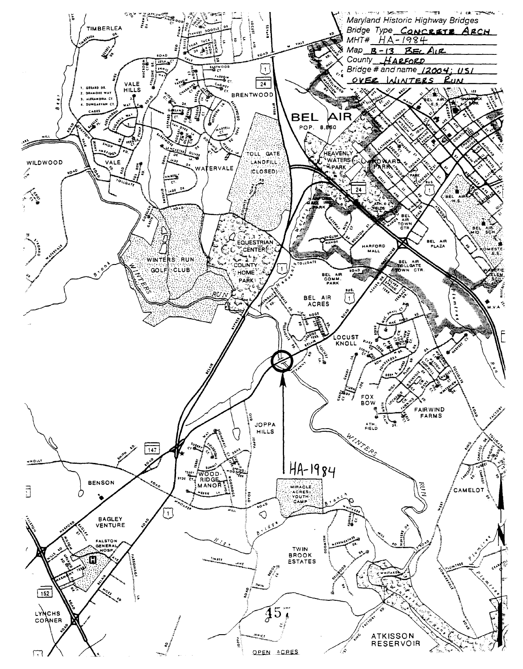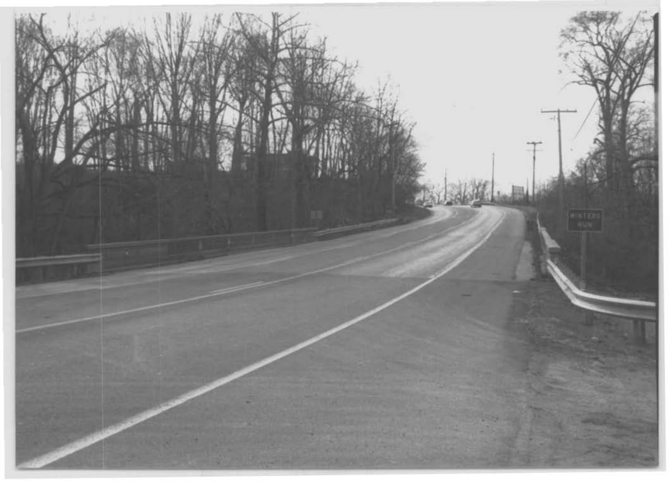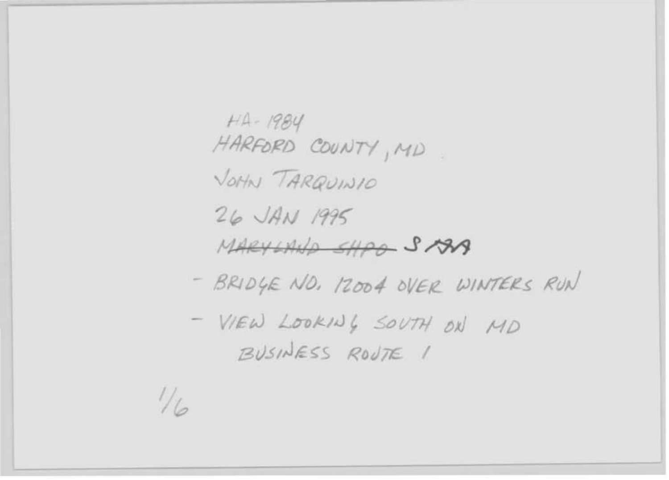$HA - 1984$ HARFORD COUNTY, MD. VOHN TARQUINIO 26 JAN 1995 MARYLAND SHPO SMAN - BRIDGE NO. 12004 OVER WINTERS RUN - VIEW LOOKING SOUTH ON MD

BUSINESS ROUTE 1

 $1/6$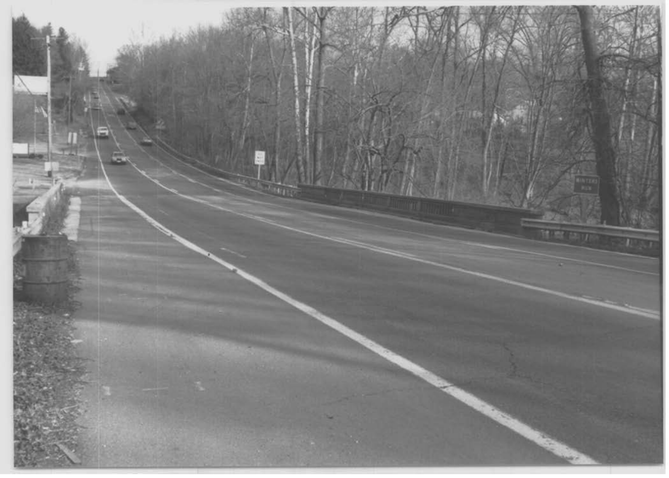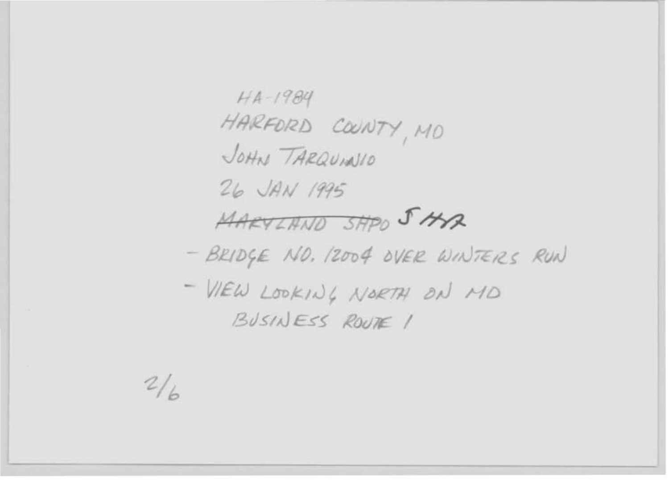$H A - 1984$ HARFORD COUNTY, MO JOHN TARQUINIO 26 JAN 1995 MARYLAND SHOO SMA - BRIDGE NO. 12004 OVER WINTERS RUN - VIEW LOOKING NORTH ON MD BUSINESS ROUTE /

 $2/6$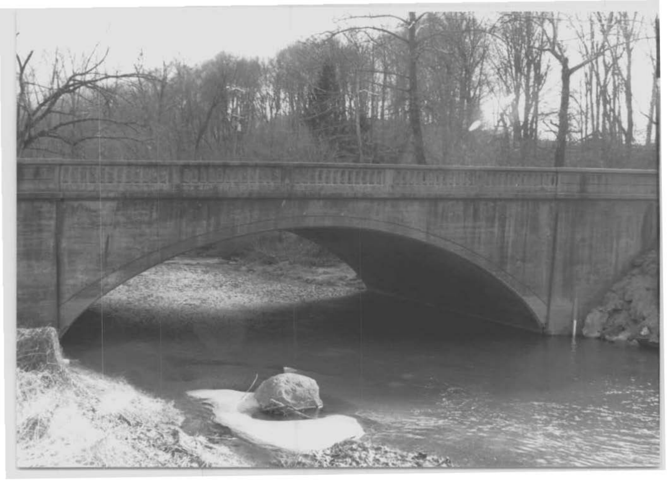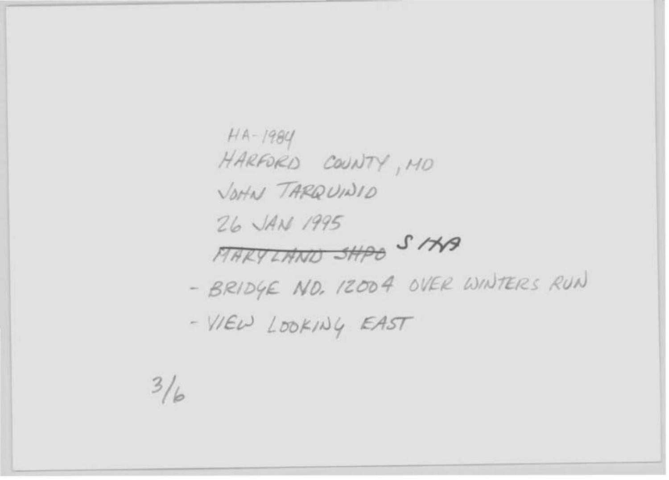$HA - 1984$ HARFORD COUNTY, MO VOHN TARQUINIO 26 JAN 1995 FIFTEFIND SHPO STAB - BRIDGE ND. 12004 OVER WINTERS RUN - VIEW LOOKING EAST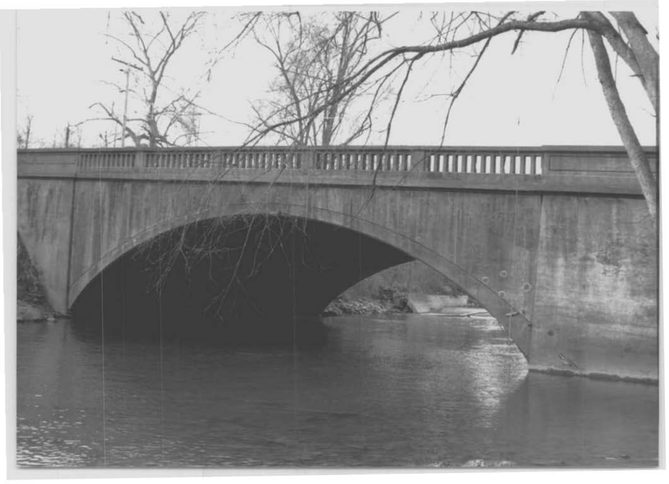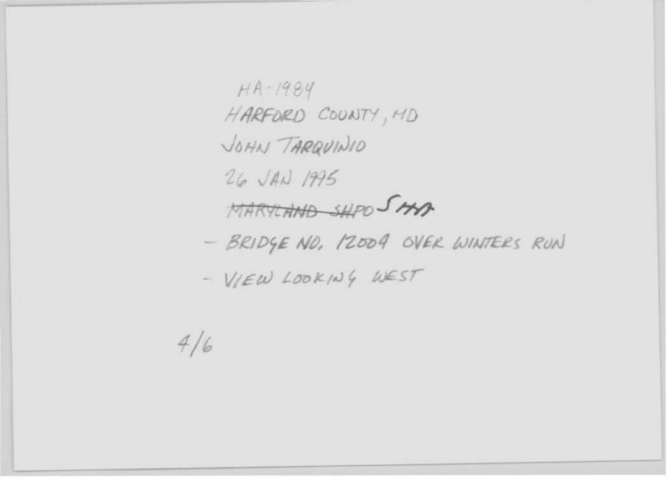$H A - 1984$ HARFORD COUNTY, MD JOHN TARQUINIO 26 JAN 1995 MARYLAND SHOO SMA - BRIDGE NO, 12009 OVER WINTERS RUN - VIEW LOOKING WEST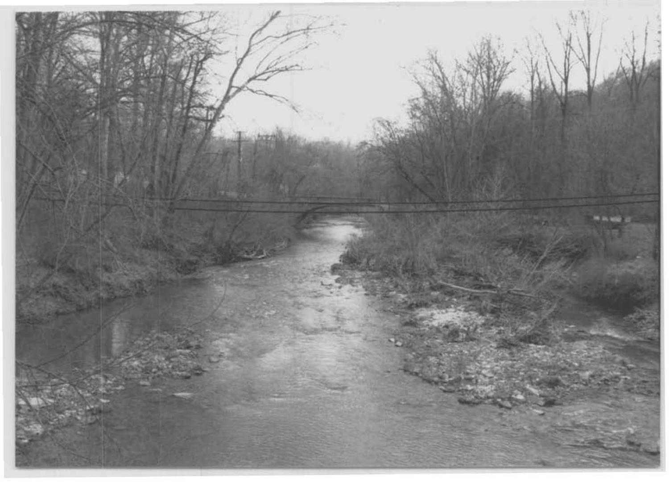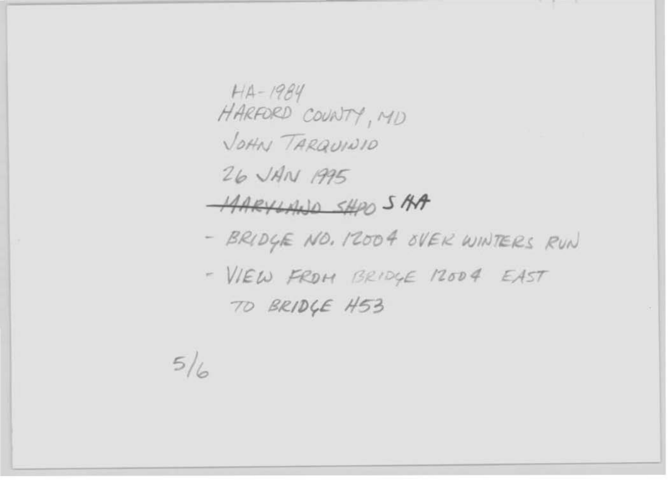$H A - 1984$ HARFORD COUNTY, MD JOHN TARQUINIO 26 JAN 1995 HARYLAND SHPO SAA - BRIDGE NO. 12004 OVER WINTERS RUN - VIEW FROM BRIDGE 12004 EAST TO BRIDGE H53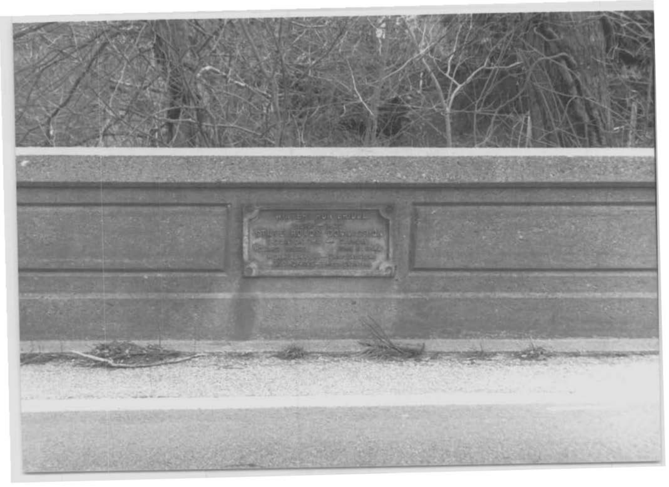![](_page_15_Picture_0.jpeg)